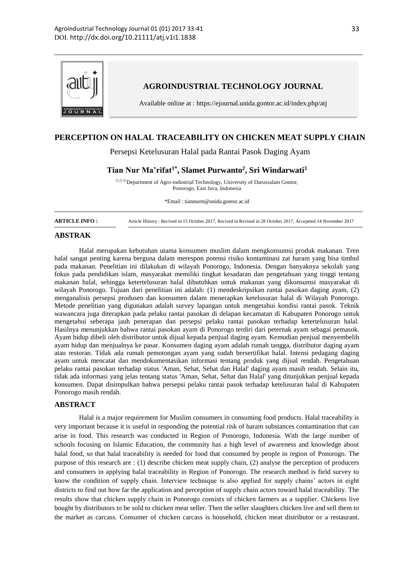

## **PERCEPTION ON HALAL TRACEABILITY ON CHICKEN MEAT SUPPLY CHAIN**

Persepsi Ketelusuran Halal pada Rantai Pasok Daging Ayam

**Tian Nur Ma'rifat1\* , Slamet Purwanto<sup>2</sup> , Sri Windarwati<sup>3</sup>**

1) 2) 3) Department of Agro-industrial Technology, University of Darussalam Gontor, Ponorogo, East Java, Indonesia

\*Email : tiannurm@unida.gontor.ac.id

**ARTICLE INFO :** Article History : Recived in 15 October 2017, Recived in Revised in 28 October 2017, Accepeted 14 November 2017

#### **ABSTRAK**

Halal merupakan kebutuhan utama konsumen muslim dalam mengkonsumsi produk makanan. Tren halal sangat penting karena berguna dalam merespon potensi risiko kontaminasi zat haram yang bisa timbul pada makanan. Penelitian ini dilakukan di wilayah Ponorogo, Indonesia. Dengan banyaknya sekolah yang fokus pada pendidikan islam, masyarakat memiliki tingkat kesadaran dan pengetahuan yang tinggi tentang makanan halal, sehingga ketertelusuran halal dibutuhkan untuk makanan yang dikonsumsi masyarakat di wilayah Ponorogo. Tujuan dari penelitian ini adalah: (1) mendeskripsikan rantai pasokan daging ayam, (2) menganalisis persepsi produsen dan konsumen dalam menerapkan ketelusuran halal di Wilayah Ponorogo. Metode penelitian yang digunakan adalah survey lapangan untuk mengetahui kondisi rantai pasok. Teknik wawancara juga diterapkan pada pelaku rantai pasokan di delapan kecamatan di Kabupaten Ponorogo untuk mengetahui seberapa jauh penerapan dan persepsi pelaku rantai pasokan terhadap ketertelusuran halal. Hasilnya menunjukkan bahwa rantai pasokan ayam di Ponorogo terdiri dari peternak ayam sebagai pemasok. Ayam hidup dibeli oleh distributor untuk dijual kepada penjual daging ayam. Kemudian penjual menyembelih ayam hidup dan menjualnya ke pasar. Konsumen daging ayam adalah rumah tangga, distributor daging ayam atau restoran. Tidak ada rumah pemotongan ayam yang sudah bersertifikat halal. Intensi pedagang daging ayam untuk mencatat dan mendokumentasikan informasi tentang produk yang dijual rendah. Pengetahuan pelaku rantai pasokan terhadap status 'Aman, Sehat, Sehat dan Halal' daging ayam masih rendah. Selain itu, tidak ada informasi yang jelas tentang status 'Aman, Sehat, Sehat dan Halal' yang ditunjukkan penjual kepada konsumen. Dapat disimpulkan bahwa persepsi pelaku rantai pasok terhadap ketelusuran halal di Kabupaten Ponorogo masih rendah.

#### **ABSTRACT**

Halal is a major requirement for Muslim consumers in consuming food products. Halal traceability is very important because it is useful in responding the potential risk of haram substances contamination that can arise in food. This research was conducted in Region of Ponorogo, Indonesia. With the large number of schools focusing on Islamic Education, the community has a high level of awareness and knowledge about halal food, so that halal traceability is needed for food that consumed by people in region of Ponorogo. The purpose of this research are : (1) describe chicken meat supply chain, (2) analyse the perception of producers and consumers in applying halal traceability in Region of Ponorogo. The research method is field survey to know the condition of supply chain. Interview technique is also applied for supply chains' actors in eight districts to find out how far the application and perception of supply chain actors toward halal traceability. The results show that chicken supply chain in Ponorogo consists of chicken farmers as a supplier. Chickens live bought by distributors to be sold to chicken meat seller. Then the seller slaughters chicken live and sell them to the market as carcass. Consumer of chicken carcass is household, chicken meat distributor or a restaurant.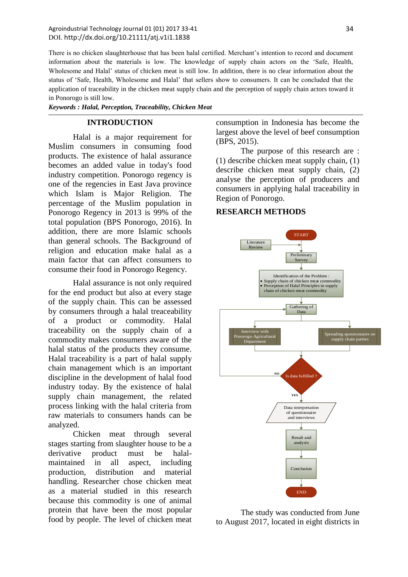There is no chicken slaughterhouse that has been halal certified. Merchant's intention to record and document information about the materials is low. The knowledge of supply chain actors on the 'Safe, Health, Wholesome and Halal' status of chicken meat is still low. In addition, there is no clear information about the status of 'Safe, Health, Wholesome and Halal' that sellers show to consumers. It can be concluded that the application of traceability in the chicken meat supply chain and the perception of supply chain actors toward it in Ponorogo is still low.

*Keywords : Halal, Perception, Traceability, Chicken Meat*

### **INTRODUCTION**

Halal is a major requirement for Muslim consumers in consuming food products. The existence of halal assurance becomes an added value in today's food industry competition. Ponorogo regency is one of the regencies in East Java province which Islam is Major Religion. The percentage of the Muslim population in Ponorogo Regency in 2013 is 99% of the total population (BPS Ponorogo, 2016). In addition, there are more Islamic schools than general schools. The Background of religion and education make halal as a main factor that can affect consumers to consume their food in Ponorogo Regency.

Halal assurance is not only required for the end product but also at every stage of the supply chain. This can be assessed by consumers through a halal treaceability of a product or commodity. Halal traceability on the supply chain of a commodity makes consumers aware of the halal status of the products they consume. Halal traceability is a part of halal supply chain management which is an important discipline in the development of halal food industry today. By the existence of halal supply chain management, the related process linking with the halal criteria from raw materials to consumers hands can be analyzed.

Chicken meat through several stages starting from slaughter house to be a derivative product must be halalmaintained in all aspect, including production, distribution and material handling. Researcher chose chicken meat as a material studied in this research because this commodity is one of animal protein that have been the most popular food by people. The level of chicken meat consumption in Indonesia has become the largest above the level of beef consumption (BPS, 2015).

The purpose of this research are : (1) describe chicken meat supply chain, (1) describe chicken meat supply chain, (2) analyse the perception of producers and consumers in applying halal traceability in Region of Ponorogo.

### **RESEARCH METHODS**



The study was conducted from June to August 2017, located in eight districts in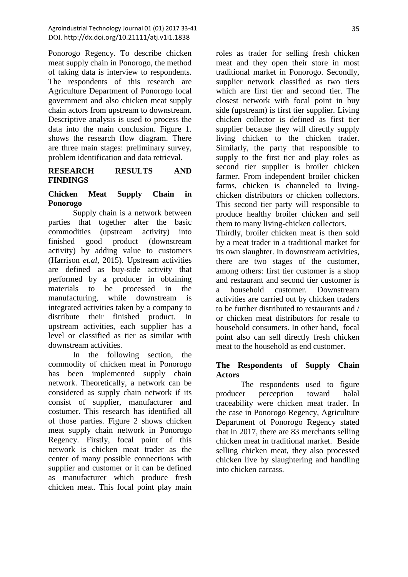Ponorogo Regency. To describe chicken meat supply chain in Ponorogo, the method of taking data is interview to respondents. The respondents of this research are Agriculture Department of Ponorogo local government and also chicken meat supply chain actors from upstream to downstream. Descriptive analysis is used to process the data into the main conclusion. Figure 1. shows the research flow diagram. There are three main stages: preliminary survey, problem identification and data retrieval.

### **RESEARCH RESULTS AND FINDINGS**

# **Chicken Meat Supply Chain in Ponorogo**

Supply chain is a network between parties that together alter the basic commodities (upstream activity) into finished good product (downstream activity) by adding value to customers (Harrison *et.al*, 2015). Upstream activities are defined as buy-side activity that performed by a producer in obtaining materials to be processed in the manufacturing, while downstream is integrated activities taken by a company to distribute their finished product. In upstream activities, each supplier has a level or classified as tier as similar with downstream activities.

In the following section, the commodity of chicken meat in Ponorogo has been implemented supply chain network. Theoretically, a network can be considered as supply chain network if its consist of supplier, manufacturer and costumer. This research has identified all of those parties. Figure 2 shows chicken meat supply chain network in Ponorogo Regency. Firstly, focal point of this network is chicken meat trader as the center of many possible connections with supplier and customer or it can be defined as manufacturer which produce fresh chicken meat. This focal point play main roles as trader for selling fresh chicken meat and they open their store in most traditional market in Ponorogo. Secondly, supplier network classified as two tiers which are first tier and second tier. The closest network with focal point in buy side (upstream) is first tier supplier. Living chicken collector is defined as first tier supplier because they will directly supply living chicken to the chicken trader. Similarly, the party that responsible to supply to the first tier and play roles as second tier supplier is broiler chicken farmer. From independent broiler chicken farms, chicken is channeled to livingchicken distributors or chicken collectors. This second tier party will responsible to produce healthy broiler chicken and sell them to many living-chicken collectors. Thirdly, broiler chicken meat is then sold by a meat trader in a traditional market for its own slaughter. In downstream activities, there are two stages of the customer, among others: first tier customer is a shop and restaurant and second tier customer is

# **The Respondents of Supply Chain Actors**

a household customer. Downstream activities are carried out by chicken traders to be further distributed to restaurants and / or chicken meat distributors for resale to household consumers. In other hand, focal point also can sell directly fresh chicken meat to the household as end customer.

The respondents used to figure producer perception toward halal traceability were chicken meat trader. In the case in Ponorogo Regency, Agriculture Department of Ponorogo Regency stated that in 2017, there are 83 merchants selling chicken meat in traditional market. Beside selling chicken meat, they also processed chicken live by slaughtering and handling into chicken carcass.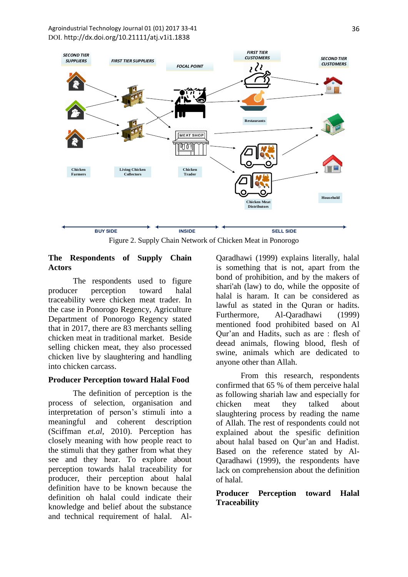

Figure 2. Supply Chain Network of Chicken Meat in Ponorogo

## **The Respondents of Supply Chain Actors**

The respondents used to figure producer perception toward halal traceability were chicken meat trader. In the case in Ponorogo Regency, Agriculture Department of Ponorogo Regency stated that in 2017, there are 83 merchants selling chicken meat in traditional market. Beside selling chicken meat, they also processed chicken live by slaughtering and handling into chicken carcass.

# **Producer Perception toward Halal Food**

The definition of perception is the process of selection, organisation and interpretation of person's stimuli into a meaningful and coherent description (Sciffman *et.al*, 2010). Perception has closely meaning with how people react to the stimuli that they gather from what they see and they hear. To explore about perception towards halal traceability for producer, their perception about halal definition have to be known because the definition oh halal could indicate their knowledge and belief about the substance and technical requirement of halal. Al-

Qaradhawi (1999) explains literally, halal is something that is not, apart from the bond of prohibition, and by the makers of shari'ah (law) to do, while the opposite of halal is haram. It can be considered as lawful as stated in the Quran or hadits. Furthermore, Al-Qaradhawi (1999) mentioned food prohibited based on Al Qur'an and Hadits, such as are : flesh of deead animals, flowing blood, flesh of swine, animals which are dedicated to anyone other than Allah.

From this research, respondents confirmed that 65 % of them perceive halal as following shariah law and especially for chicken meat they talked about slaughtering process by reading the name of Allah. The rest of respondents could not explained about the spesific definition about halal based on Qur'an and Hadist. Based on the reference stated by Al-Qaradhawi (1999), the respondents have lack on comprehension about the definition of halal.

# **Producer Perception toward Halal Traceability**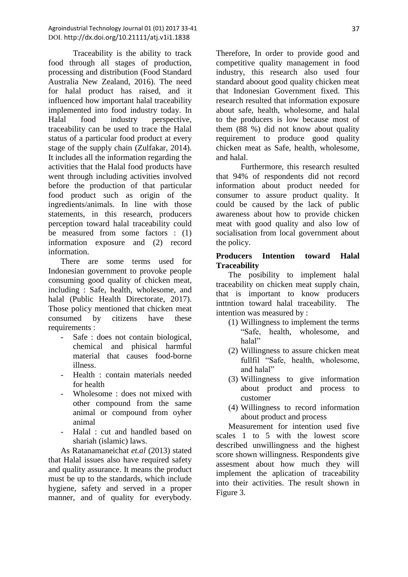Traceability is the ability to track food through all stages of production, processing and distribution (Food Standard Australia New Zealand, 2016). The need for halal product has raised, and it influenced how important halal traceability implemented into food industry today. In Halal food industry perspective, traceability can be used to trace the Halal status of a particular food product at every stage of the supply chain (Zulfakar, 2014). It includes all the information regarding the activities that the Halal food products have went through including activities involved before the production of that particular food product such as origin of the ingredients/animals. In line with those statements, in this research, producers perception toward halal traceability could be measured from some factors : (1) information exposure and (2) record information.

There are some terms used for Indonesian government to provoke people consuming good quality of chicken meat, including : Safe, health, wholesome, and halal (Public Health Directorate, 2017). Those policy mentioned that chicken meat consumed by citizens have these requirements :

- Safe : does not contain biological, chemical and phisical harmful material that causes food-borne illness.
- Health : contain materials needed for health
- Wholesome : does not mixed with other compound from the same animal or compound from oyher animal
- Halal : cut and handled based on shariah (islamic) laws.

As Ratanamaneichat *et.al* (2013) stated that Halal issues also have required safety and quality assurance. It means the product must be up to the standards, which include hygiene, safety and served in a proper manner, and of quality for everybody. Therefore, In order to provide good and competitive quality management in food industry, this research also used four standard aboout good quality chicken meat that Indonesian Government fixed. This research resulted that information exposure about safe, health, wholesome, and halal to the producers is low because most of them (88 %) did not know about quality requirement to produce good quality chicken meat as Safe, health, wholesome, and halal.

Furthermore, this research resulted that 94% of respondents did not record information about product needed for consumer to assure product quality. It could be caused by the lack of public awareness about how to provide chicken meat with good quality and also low of socialisation from local government about the policy.

# **Producers Intention toward Halal Traceability**

The posibility to implement halal traceability on chicken meat supply chain, that is important to know producers inttntion toward halal traceability. The intention was measured by :

- (1) Willingness to implement the terms "Safe, health, wholesome, and halal"
- (2) Willingness to assure chicken meat fullfil "Safe, health, wholesome, and halal"
- (3) Willingness to give information about product and process to customer
- (4) Willingness to record information about product and process

Measurement for intention used five scales 1 to 5 with the lowest score described unwillingness and the highest score shown willingness. Respondents give assesment about how much they will implement the aplication of traceability into their activities. The result shown in Figure 3.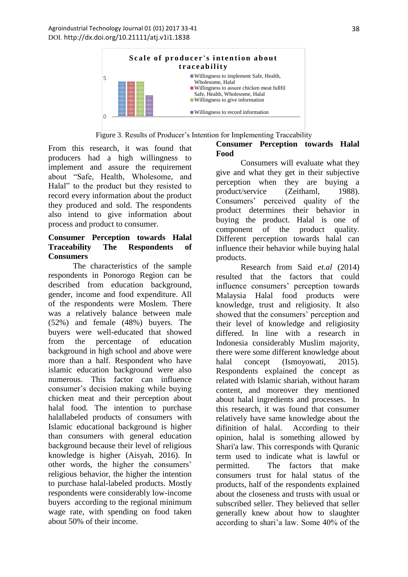

Figure 3. Results of Producer's Intention for Implementing Traceability

From this research, it was found that producers had a high willingness to implement and assure the requirement about "Safe, Health, Wholesome, and Halal" to the product but they resisted to record every information about the product they produced and sold. The respondents also intend to give information about process and product to consumer.

## **Consumer Perception towards Halal Traceability The Respondents of Consumers**

The characteristics of the sample respondents in Ponorogo Region can be described from education background, gender, income and food expenditure. All of the respondents were Moslem. There was a relatively balance between male (52%) and female (48%) buyers. The buyers were well-educated that showed from the percentage of education background in high school and above were more than a half. Respondent who have islamic education background were also numerous. This factor can influence consumer's decision making while buying chicken meat and their perception about halal food. The intention to purchase halallabeled products of consumers with Islamic educational background is higher than consumers with general education background because their level of religious knowledge is higher (Aisyah, 2016). In other words, the higher the consumers' religious behavior, the higher the intention to purchase halal-labeled products. Mostly respondents were considerably low-income buyers according to the regional minimum wage rate, with spending on food taken about 50% of their income.

# **Consumer Perception towards Halal Food**

Consumers will evaluate what they give and what they get in their subjective perception when they are buying a product/service (Zeithaml, 1988). Consumers' perceived quality of the product determines their behavior in buying the product. Halal is one of component of the product quality. Different perception towards halal can influence their behavior while buying halal products.

Research from Said *et.al* (2014) resulted that the factors that could influence consumers' perception towards Malaysia Halal food products were knowledge, trust and religiosity. It also showed that the consumers' perception and their level of knowledge and religiosity differed. In line with a research in Indonesia considerably Muslim majority, there were some different knowledge about halal concept (Ismoyowati, 2015). Respondents explained the concept as related with Islamic shariah, without haram content, and moreover they mentioned about halal ingredients and processes. In this research, it was found that consumer relatively have same knowledge about the difinition of halal. According to their opinion, halal is something allowed by Shari'a law. This corresponds with Quranic term used to indicate what is lawful or permitted. The factors that make consumers trust for halal status of the products, half of the respondents explained about the closeness and trusts with usual or subscribed seller. They believed that seller generally knew about how to slaughter according to shari'a law. Some 40% of the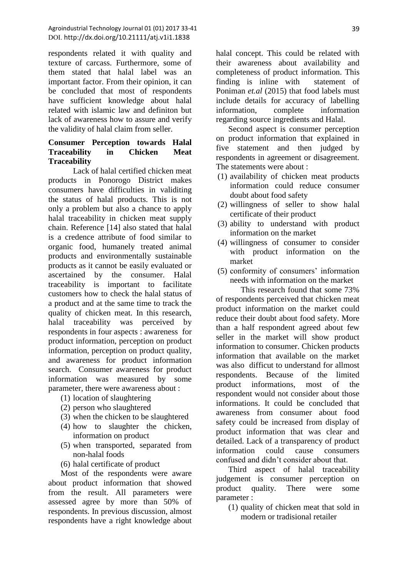respondents related it with quality and texture of carcass. Furthermore, some of them stated that halal label was an important factor. From their opinion, it can be concluded that most of respondents have sufficient knowledge about halal related with islamic law and definiton but lack of awareness how to assure and verify the validity of halal claim from seller.

## **Consumer Perception towards Halal Traceability in Chicken Meat Traceability**

Lack of halal certified chicken meat products in Ponorogo District makes consumers have difficulties in validiting the status of halal products. This is not only a problem but also a chance to apply halal traceability in chicken meat supply chain. Reference [14] also stated that halal is a credence attribute of food similar to organic food, humanely treated animal products and environmentally sustainable products as it cannot be easily evaluated or ascertained by the consumer. Halal traceability is important to facilitate customers how to check the halal status of a product and at the same time to track the quality of chicken meat. In this research, halal traceability was perceived by respondents in four aspects : awareness for product information, perception on product information, perception on product quality, and awareness for product information search. Consumer awareness for product information was measured by some parameter, there were awareness about :

- (1) location of slaughtering
- (2) person who slaughtered
- (3) when the chicken to be slaughtered
- (4) how to slaughter the chicken, information on product
- (5) when transported, separated from non-halal foods
- (6) halal certificate of product

Most of the respondents were aware about product information that showed from the result. All parameters were assessed agree by more than 50% of respondents. In previous discussion, almost respondents have a right knowledge about halal concept. This could be related with their awareness about availability and completeness of product information. This finding is inline with statement of Poniman *et.al* (2015) that food labels must include details for accuracy of labelling information, complete information regarding source ingredients and Halal.

Second aspect is consumer perception on product information that explained in five statement and then judged by respondents in agreement or disagreement. The statements were about :

- (1) availability of chicken meat products information could reduce consumer doubt about food safety
- (2) willingness of seller to show halal certificate of their product
- (3) ability to understand with product information on the market
- (4) willingness of consumer to consider with product information on the market
- (5) conformity of consumers' information needs with information on the market

This research found that some 73% of respondents perceived that chicken meat product information on the market could reduce their doubt about food safety. More than a half respondent agreed about few seller in the market will show product information to consumer. Chicken products information that available on the market was also difficut to understand for allmost respondents. Because of the limited product informations, most of the respondent would not consider about those informations. It could be concluded that awareness from consumer about food safety could be increased from display of product information that was clear and detailed. Lack of a transparency of product information could cause consumers confused and didn't consider about that.

Third aspect of halal traceability judgement is consumer perception on product quality. There were some parameter :

(1) quality of chicken meat that sold in modern or tradisional retailer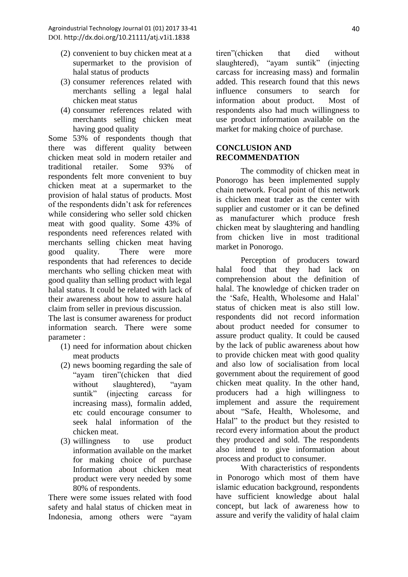- (2) convenient to buy chicken meat at a supermarket to the provision of halal status of products
- (3) consumer references related with merchants selling a legal halal chicken meat status
- (4) consumer references related with merchants selling chicken meat having good quality

Some 53% of respondents though that there was different quality between chicken meat sold in modern retailer and traditional retailer. Some 93% of respondents felt more convenient to buy chicken meat at a supermarket to the provision of halal status of products. Most of the respondents didn't ask for references while considering who seller sold chicken meat with good quality. Some 43% of respondents need references related with merchants selling chicken meat having good quality. There were more respondents that had references to decide merchants who selling chicken meat with good quality than selling product with legal halal status. It could be related with lack of their awareness about how to assure halal claim from seller in previous discussion.

The last is consumer awareness for product information search. There were some parameter :

- (1) need for information about chicken meat products
- (2) news booming regarding the sale of "ayam tiren"(chicken that died without slaughtered), "ayam suntik" (injecting carcass for increasing mass), formalin added, etc could encourage consumer to seek halal information of the chicken meat.
- (3) willingness to use product information available on the market for making choice of purchase Information about chicken meat product were very needed by some 80% of respondents.

There were some issues related with food safety and halal status of chicken meat in Indonesia, among others were "ayam tiren"(chicken that died without slaughtered), "ayam suntik" (injecting carcass for increasing mass) and formalin added. This research found that this news influence consumers to search for information about product. Most of respondents also had much willingness to use product information available on the market for making choice of purchase.

# **CONCLUSION AND RECOMMENDATION**

The commodity of chicken meat in Ponorogo has been implemented supply chain network. Focal point of this network is chicken meat trader as the center with supplier and customer or it can be defined as manufacturer which produce fresh chicken meat by slaughtering and handling from chicken live in most traditional market in Ponorogo.

Perception of producers toward halal food that they had lack on comprehension about the definition of halal. The knowledge of chicken trader on the 'Safe, Health, Wholesome and Halal' status of chicken meat is also still low. respondents did not record information about product needed for consumer to assure product quality. It could be caused by the lack of public awareness about how to provide chicken meat with good quality and also low of socialisation from local government about the requirement of good chicken meat quality. In the other hand, producers had a high willingness to implement and assure the requirement about "Safe, Health, Wholesome, and Halal" to the product but they resisted to record every information about the product they produced and sold. The respondents also intend to give information about process and product to consumer.

With characteristics of respondents in Ponorogo which most of them have islamic education background, respondents have sufficient knowledge about halal concept, but lack of awareness how to assure and verify the validity of halal claim